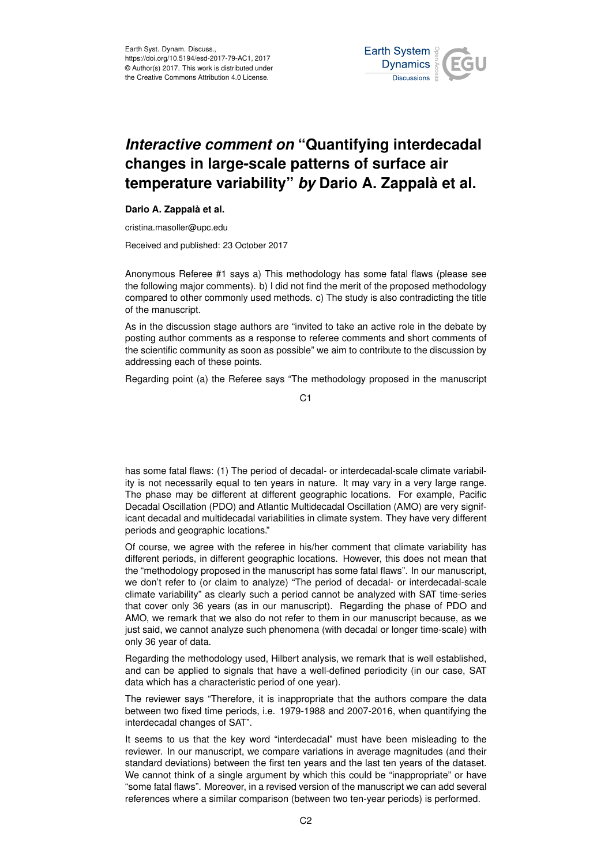

## *Interactive comment on* **"Quantifying interdecadal changes in large-scale patterns of surface air temperature variability"** *by* **Dario A. Zappalà et al.**

## **Dario A. Zappalà et al.**

cristina.masoller@upc.edu

Received and published: 23 October 2017

Anonymous Referee #1 says a) This methodology has some fatal flaws (please see the following major comments). b) I did not find the merit of the proposed methodology compared to other commonly used methods. c) The study is also contradicting the title of the manuscript.

As in the discussion stage authors are "invited to take an active role in the debate by posting author comments as a response to referee comments and short comments of the scientific community as soon as possible" we aim to contribute to the discussion by addressing each of these points.

Regarding point (a) the Referee says "The methodology proposed in the manuscript

C<sub>1</sub>

has some fatal flaws: (1) The period of decadal- or interdecadal-scale climate variability is not necessarily equal to ten years in nature. It may vary in a very large range. The phase may be different at different geographic locations. For example, Pacific Decadal Oscillation (PDO) and Atlantic Multidecadal Oscillation (AMO) are very significant decadal and multidecadal variabilities in climate system. They have very different periods and geographic locations."

Of course, we agree with the referee in his/her comment that climate variability has different periods, in different geographic locations. However, this does not mean that the "methodology proposed in the manuscript has some fatal flaws". In our manuscript, we don't refer to (or claim to analyze) "The period of decadal- or interdecadal-scale climate variability" as clearly such a period cannot be analyzed with SAT time-series that cover only 36 years (as in our manuscript). Regarding the phase of PDO and AMO, we remark that we also do not refer to them in our manuscript because, as we just said, we cannot analyze such phenomena (with decadal or longer time-scale) with only 36 year of data.

Regarding the methodology used, Hilbert analysis, we remark that is well established, and can be applied to signals that have a well-defined periodicity (in our case, SAT data which has a characteristic period of one year).

The reviewer says "Therefore, it is inappropriate that the authors compare the data between two fixed time periods, i.e. 1979-1988 and 2007-2016, when quantifying the interdecadal changes of SAT".

It seems to us that the key word "interdecadal" must have been misleading to the reviewer. In our manuscript, we compare variations in average magnitudes (and their standard deviations) between the first ten years and the last ten years of the dataset. We cannot think of a single argument by which this could be "inappropriate" or have "some fatal flaws". Moreover, in a revised version of the manuscript we can add several references where a similar comparison (between two ten-year periods) is performed.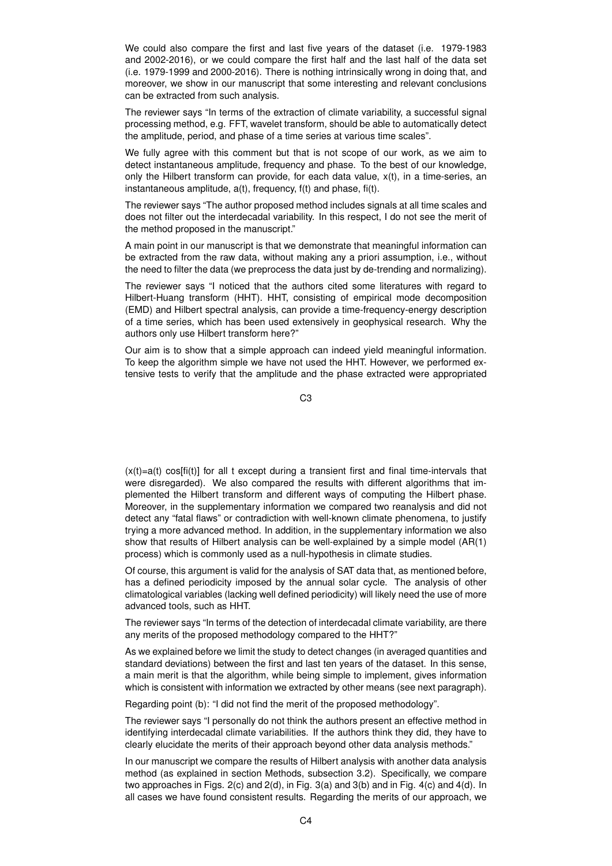We could also compare the first and last five years of the dataset (i.e. 1979-1983 and 2002-2016), or we could compare the first half and the last half of the data set (i.e. 1979-1999 and 2000-2016). There is nothing intrinsically wrong in doing that, and moreover, we show in our manuscript that some interesting and relevant conclusions can be extracted from such analysis.

The reviewer says "In terms of the extraction of climate variability, a successful signal processing method, e.g. FFT, wavelet transform, should be able to automatically detect the amplitude, period, and phase of a time series at various time scales".

We fully agree with this comment but that is not scope of our work, as we aim to detect instantaneous amplitude, frequency and phase. To the best of our knowledge, only the Hilbert transform can provide, for each data value, x(t), in a time-series, an instantaneous amplitude, a(t), frequency, f(t) and phase, fi(t).

The reviewer says "The author proposed method includes signals at all time scales and does not filter out the interdecadal variability. In this respect, I do not see the merit of the method proposed in the manuscript."

A main point in our manuscript is that we demonstrate that meaningful information can be extracted from the raw data, without making any a priori assumption, i.e., without the need to filter the data (we preprocess the data just by de-trending and normalizing).

The reviewer says "I noticed that the authors cited some literatures with regard to Hilbert-Huang transform (HHT). HHT, consisting of empirical mode decomposition (EMD) and Hilbert spectral analysis, can provide a time-frequency-energy description of a time series, which has been used extensively in geophysical research. Why the authors only use Hilbert transform here?"

Our aim is to show that a simple approach can indeed yield meaningful information. To keep the algorithm simple we have not used the HHT. However, we performed extensive tests to verify that the amplitude and the phase extracted were appropriated

C3

 $(x(t)=a(t))$  cos[fi(t)] for all t except during a transient first and final time-intervals that were disregarded). We also compared the results with different algorithms that implemented the Hilbert transform and different ways of computing the Hilbert phase. Moreover, in the supplementary information we compared two reanalysis and did not detect any "fatal flaws" or contradiction with well-known climate phenomena, to justify trying a more advanced method. In addition, in the supplementary information we also show that results of Hilbert analysis can be well-explained by a simple model (AR(1) process) which is commonly used as a null-hypothesis in climate studies.

Of course, this argument is valid for the analysis of SAT data that, as mentioned before, has a defined periodicity imposed by the annual solar cycle. The analysis of other climatological variables (lacking well defined periodicity) will likely need the use of more advanced tools, such as HHT.

The reviewer says "In terms of the detection of interdecadal climate variability, are there any merits of the proposed methodology compared to the HHT?"

As we explained before we limit the study to detect changes (in averaged quantities and standard deviations) between the first and last ten years of the dataset. In this sense, a main merit is that the algorithm, while being simple to implement, gives information which is consistent with information we extracted by other means (see next paragraph).

Regarding point (b): "I did not find the merit of the proposed methodology".

The reviewer says "I personally do not think the authors present an effective method in identifying interdecadal climate variabilities. If the authors think they did, they have to clearly elucidate the merits of their approach beyond other data analysis methods."

In our manuscript we compare the results of Hilbert analysis with another data analysis method (as explained in section Methods, subsection 3.2). Specifically, we compare two approaches in Figs. 2(c) and 2(d), in Fig. 3(a) and 3(b) and in Fig. 4(c) and 4(d). In all cases we have found consistent results. Regarding the merits of our approach, we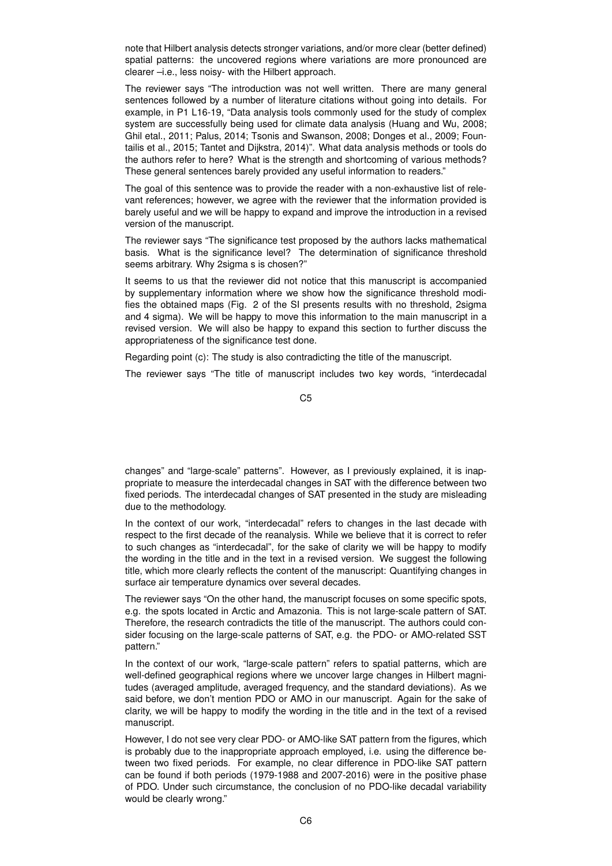note that Hilbert analysis detects stronger variations, and/or more clear (better defined) spatial patterns: the uncovered regions where variations are more pronounced are clearer –i.e., less noisy- with the Hilbert approach.

The reviewer says "The introduction was not well written. There are many general sentences followed by a number of literature citations without going into details. For example, in P1 L16-19, "Data analysis tools commonly used for the study of complex system are successfully being used for climate data analysis (Huang and Wu, 2008; Ghil etal., 2011; Palus, 2014; Tsonis and Swanson, 2008; Donges et al., 2009; Fountailis et al., 2015; Tantet and Dijkstra, 2014)". What data analysis methods or tools do the authors refer to here? What is the strength and shortcoming of various methods? These general sentences barely provided any useful information to readers."

The goal of this sentence was to provide the reader with a non-exhaustive list of relevant references; however, we agree with the reviewer that the information provided is barely useful and we will be happy to expand and improve the introduction in a revised version of the manuscript.

The reviewer says "The significance test proposed by the authors lacks mathematical basis. What is the significance level? The determination of significance threshold seems arbitrary. Why 2sigma s is chosen?"

It seems to us that the reviewer did not notice that this manuscript is accompanied by supplementary information where we show how the significance threshold modifies the obtained maps (Fig. 2 of the SI presents results with no threshold, 2sigma and 4 sigma). We will be happy to move this information to the main manuscript in a revised version. We will also be happy to expand this section to further discuss the appropriateness of the significance test done.

Regarding point (c): The study is also contradicting the title of the manuscript.

The reviewer says "The title of manuscript includes two key words, "interdecadal

C5

changes" and "large-scale" patterns". However, as I previously explained, it is inappropriate to measure the interdecadal changes in SAT with the difference between two fixed periods. The interdecadal changes of SAT presented in the study are misleading due to the methodology.

In the context of our work, "interdecadal" refers to changes in the last decade with respect to the first decade of the reanalysis. While we believe that it is correct to refer to such changes as "interdecadal", for the sake of clarity we will be happy to modify the wording in the title and in the text in a revised version. We suggest the following title, which more clearly reflects the content of the manuscript: Quantifying changes in surface air temperature dynamics over several decades.

The reviewer says "On the other hand, the manuscript focuses on some specific spots, e.g. the spots located in Arctic and Amazonia. This is not large-scale pattern of SAT. Therefore, the research contradicts the title of the manuscript. The authors could consider focusing on the large-scale patterns of SAT, e.g. the PDO- or AMO-related SST pattern."

In the context of our work, "large-scale pattern" refers to spatial patterns, which are well-defined geographical regions where we uncover large changes in Hilbert magnitudes (averaged amplitude, averaged frequency, and the standard deviations). As we said before, we don't mention PDO or AMO in our manuscript. Again for the sake of clarity, we will be happy to modify the wording in the title and in the text of a revised manuscript.

However, I do not see very clear PDO- or AMO-like SAT pattern from the figures, which is probably due to the inappropriate approach employed, i.e. using the difference between two fixed periods. For example, no clear difference in PDO-like SAT pattern can be found if both periods (1979-1988 and 2007-2016) were in the positive phase of PDO. Under such circumstance, the conclusion of no PDO-like decadal variability would be clearly wrong."